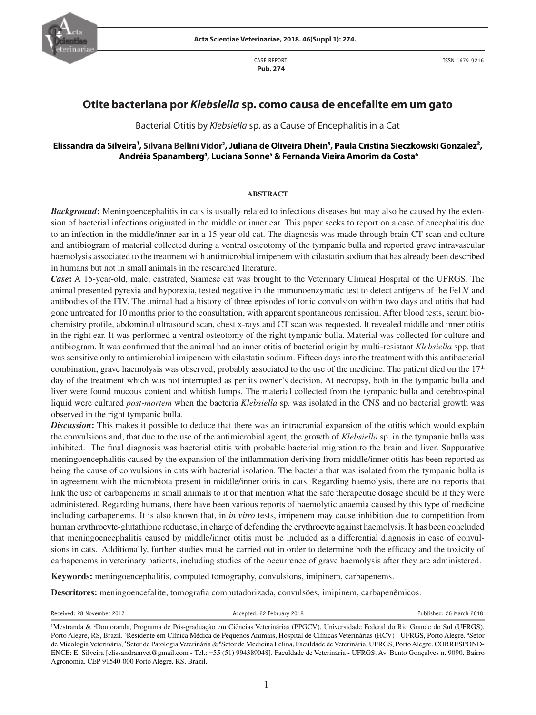

CASE REPORT  **Pub. 274**

ISSN 1679-9216

# **Otite bacteriana por** *Klebsiella* **sp. como causa de encefalite em um gato**

Bacterial Otitis by *Klebsiella* sp. as a Cause of Encephalitis in a Cat

## Elissandra da Silveira<sup>1</sup>, Silvana Bellini Vidor<sup>2</sup>, Juliana de Oliveira Dhein<sup>3</sup>, Paula Cristina Sieczkowski Gonzalez<sup>2</sup>,  **Andréia Spanamberg4 , Luciana Sonne5 & Fernanda Vieira Amorim da Costa6**

### **ABSTRACT**

*Background*: Meningoencephalitis in cats is usually related to infectious diseases but may also be caused by the extension of bacterial infections originated in the middle or inner ear. This paper seeks to report on a case of encephalitis due to an infection in the middle/inner ear in a 15-year-old cat. The diagnosis was made through brain CT scan and culture and antibiogram of material collected during a ventral osteotomy of the tympanic bulla and reported grave intravascular haemolysis associated to the treatment with antimicrobial imipenem with cilastatin sodium that has already been described in humans but not in small animals in the researched literature.

*Case***:** A 15-year-old, male, castrated, Siamese cat was brought to the Veterinary Clinical Hospital of the UFRGS. The animal presented pyrexia and hyporexia, tested negative in the immunoenzymatic test to detect antigens of the FeLV and antibodies of the FIV. The animal had a history of three episodes of tonic convulsion within two days and otitis that had gone untreated for 10 months prior to the consultation, with apparent spontaneous remission. After blood tests, serum biochemistry profile, abdominal ultrasound scan, chest x-rays and CT scan was requested. It revealed middle and inner otitis in the right ear. It was performed a ventral osteotomy of the right tympanic bulla. Material was collected for culture and antibiogram. It was confirmed that the animal had an inner otitis of bacterial origin by multi-resistant *Klebsiella* spp. that was sensitive only to antimicrobial imipenem with cilastatin sodium. Fifteen days into the treatment with this antibacterial combination, grave haemolysis was observed, probably associated to the use of the medicine. The patient died on the  $17<sup>th</sup>$ day of the treatment which was not interrupted as per its owner's decision. At necropsy, both in the tympanic bulla and liver were found mucous content and whitish lumps. The material collected from the tympanic bulla and cerebrospinal liquid were cultured *post-mortem* when the bacteria *Klebsiella* sp. was isolated in the CNS and no bacterial growth was observed in the right tympanic bulla.

*Discussion***:** This makes it possible to deduce that there was an intracranial expansion of the otitis which would explain the convulsions and, that due to the use of the antimicrobial agent, the growth of *Klebsiella* sp. in the tympanic bulla was inhibited. The final diagnosis was bacterial otitis with probable bacterial migration to the brain and liver. Suppurative meningoencephalitis caused by the expansion of the inflammation deriving from middle/inner otitis has been reported as being the cause of convulsions in cats with bacterial isolation. The bacteria that was isolated from the tympanic bulla is in agreement with the microbiota present in middle/inner otitis in cats. Regarding haemolysis, there are no reports that link the use of carbapenems in small animals to it or that mention what the safe therapeutic dosage should be if they were administered. Regarding humans, there have been various reports of haemolytic anaemia caused by this type of medicine including carbapenems. It is also known that, in *in vitro* tests, imipenem may cause inhibition due to competition from human erythrocyte-glutathione reductase, in charge of defending the erythrocyte against haemolysis. It has been concluded that meningoencephalitis caused by middle/inner otitis must be included as a differential diagnosis in case of convulsions in cats. Additionally, further studies must be carried out in order to determine both the efficacy and the toxicity of carbapenems in veterinary patients, including studies of the occurrence of grave haemolysis after they are administered.

**Keywords:** meningoencephalitis, computed tomography, convulsions, imipinem, carbapenems.

**Descritores:** meningoencefalite, tomografia computadorizada, convulsões, imipinem, carbapenêmicos.

Received: 28 November 2017 **Accepted: 28 February 2018** Published: 26 March 2018

Mestranda & <sup>2</sup>Doutoranda, Programa de Pós-graduação em Ciências Veterinárias (PPGCV), Universidade Federal do Rio Grande do Sul (UFRGS), Porto Alegre, RS, Brazil. <sup>3</sup>Residente em Clínica Médica de Pequenos Animais, Hospital de Clínicas Veterinárias (HCV) - UFRGS, Porto Alegre. <sup>4</sup>Setor de Micologia Veterinária, <sup>5</sup>Setor de Patologia Veterinária & <sup>6</sup>Setor de Medicina Felina, Faculdade de Veterinária, UFRGS, Porto Alegre. CORRESPOND-ENCE: E. Silveira [elissandramvet@gmail.com - Tel.: +55 (51) 994389048]. Faculdade de Veterinária - UFRGS. Av. Bento Gonçalves n. 9090. Bairro Agronomia. CEP 91540-000 Porto Alegre, RS, Brazil.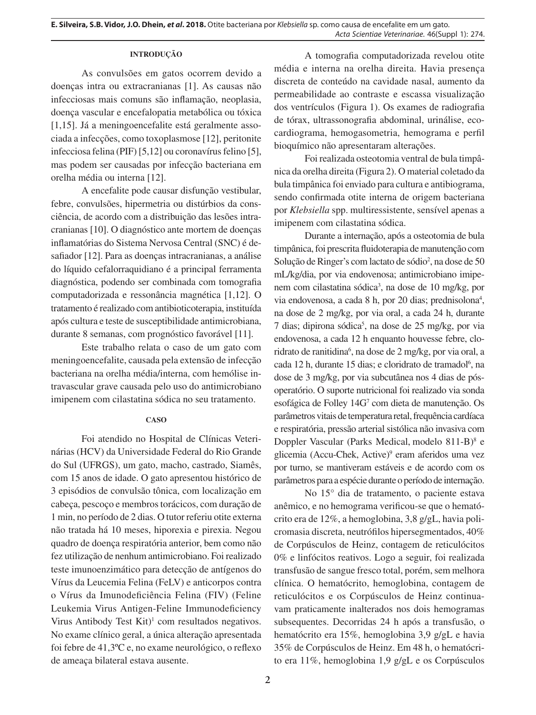#### **INTRODUÇÃO**

As convulsões em gatos ocorrem devido a doenças intra ou extracranianas [1]. As causas não infecciosas mais comuns são inflamação, neoplasia, doença vascular e encefalopatia metabólica ou tóxica [1,15]. Já a meningoencefalite está geralmente associada a infecções, como toxoplasmose [12], peritonite infecciosa felina (PIF) [5,12] ou coronavírus felino [5], mas podem ser causadas por infecção bacteriana em orelha média ou interna [12].

A encefalite pode causar disfunção vestibular, febre, convulsões, hipermetria ou distúrbios da consciência, de acordo com a distribuição das lesões intracranianas [10]. O diagnóstico ante mortem de doenças inflamatórias do Sistema Nervosa Central (SNC) é desafiador [12]. Para as doenças intracranianas, a análise do líquido cefalorraquidiano é a principal ferramenta diagnóstica, podendo ser combinada com tomografia computadorizada e ressonância magnética [1,12]. O tratamento é realizado com antibioticoterapia, instituída após cultura e teste de susceptibilidade antimicrobiana, durante 8 semanas, com prognóstico favorável [11].

Este trabalho relata o caso de um gato com meningoencefalite, causada pela extensão de infecção bacteriana na orelha média/interna, com hemólise intravascular grave causada pelo uso do antimicrobiano imipenem com cilastatina sódica no seu tratamento.

#### **CASO**

Foi atendido no Hospital de Clínicas Veterinárias (HCV) da Universidade Federal do Rio Grande do Sul (UFRGS), um gato, macho, castrado, Siamês, com 15 anos de idade. O gato apresentou histórico de 3 episódios de convulsão tônica, com localização em cabeça, pescoço e membros torácicos, com duração de 1 min, no período de 2 dias. O tutor referiu otite externa não tratada há 10 meses, hiporexia e pirexia. Negou quadro de doença respiratória anterior, bem como não fez utilização de nenhum antimicrobiano. Foi realizado teste imunoenzimático para detecção de antígenos do Vírus da Leucemia Felina (FeLV) e anticorpos contra o Vírus da Imunodeficiência Felina (FIV) (Feline Leukemia Virus Antigen-Feline Immunodeficiency Virus Antibody Test  $Kit)$ <sup>1</sup> com resultados negativos. No exame clínico geral, a única alteração apresentada foi febre de 41,3ºC e, no exame neurológico, o reflexo de ameaça bilateral estava ausente.

A tomografia computadorizada revelou otite média e interna na orelha direita. Havia presença discreta de conteúdo na cavidade nasal, aumento da permeabilidade ao contraste e escassa visualização dos ventrículos (Figura 1). Os exames de radiografia de tórax, ultrassonografia abdominal, urinálise, ecocardiograma, hemogasometria, hemograma e perfil bioquímico não apresentaram alterações.

Foi realizada osteotomia ventral de bula timpânica da orelha direita (Figura 2). O material coletado da bula timpânica foi enviado para cultura e antibiograma, sendo confirmada otite interna de origem bacteriana por *Klebsiella* spp. multiressistente, sensível apenas a imipenem com cilastatina sódica.

Durante a internação, após a osteotomia de bula timpânica, foi prescrita fluidoterapia de manutenção com Solução de Ringer's com lactato de sódio<sup>2</sup>, na dose de 50 mL/kg/dia, por via endovenosa; antimicrobiano imipenem com cilastatina sódica<sup>3</sup>, na dose de 10 mg/kg, por via endovenosa, a cada 8 h, por 20 dias; prednisolona<sup>4</sup>, na dose de 2 mg/kg, por via oral, a cada 24 h, durante 7 dias; dipirona sódica<sup>5</sup>, na dose de 25 mg/kg, por via endovenosa, a cada 12 h enquanto houvesse febre, cloridrato de ranitidina<sup>6</sup>, na dose de 2 mg/kg, por via oral, a cada 12 h, durante 15 dias; e cloridrato de tramadol<sup>6</sup>, na dose de 3 mg/kg, por via subcutânea nos 4 dias de pósoperatório. O suporte nutricional foi realizado via sonda esofágica de Folley 14G7 com dieta de manutenção. Os parâmetros vitais de temperatura retal, frequência cardíaca e respiratória, pressão arterial sistólica não invasiva com Doppler Vascular (Parks Medical, modelo 811-B)<sup>8</sup> e glicemia (Accu-Chek, Active)<sup>9</sup> eram aferidos uma vez por turno, se mantiveram estáveis e de acordo com os parâmetros para a espécie durante o período de internação.

No 15° dia de tratamento, o paciente estava anêmico, e no hemograma verificou-se que o hematócrito era de 12%, a hemoglobina, 3,8 g/gL, havia policromasia discreta, neutrófilos hipersegmentados, 40% de Corpúsculos de Heinz, contagem de reticulócitos 0% e linfócitos reativos. Logo a seguir, foi realizada transfusão de sangue fresco total, porém, sem melhora clínica. O hematócrito, hemoglobina, contagem de reticulócitos e os Corpúsculos de Heinz continuavam praticamente inalterados nos dois hemogramas subsequentes. Decorridas 24 h após a transfusão, o hematócrito era 15%, hemoglobina 3,9 g/gL e havia 35% de Corpúsculos de Heinz. Em 48 h, o hematócrito era 11%, hemoglobina 1,9 g/gL e os Corpúsculos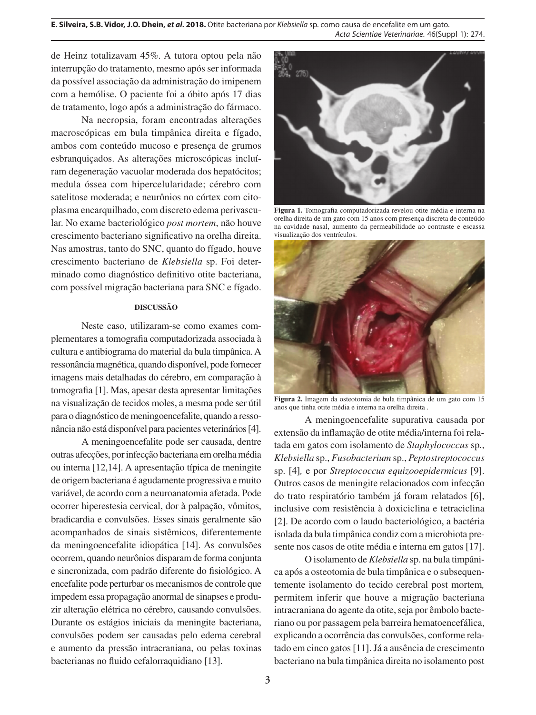**E. Silveira, S.B. Vidor, J.O. Dhein,** *et al***. 2018.** Otite bacteriana por *Klebsiella* sp. como causa de encefalite em um gato. *Acta Scientiae Veterinariae*. 46(Suppl 1): 274.

de Heinz totalizavam 45%. A tutora optou pela não interrupção do tratamento, mesmo após ser informada da possível associação da administração do imipenem com a hemólise. O paciente foi a óbito após 17 dias de tratamento, logo após a administração do fármaco.

Na necropsia, foram encontradas alterações macroscópicas em bula timpânica direita e fígado, ambos com conteúdo mucoso e presença de grumos esbranquiçados. As alterações microscópicas incluíram degeneração vacuolar moderada dos hepatócitos; medula óssea com hipercelularidade; cérebro com satelitose moderada; e neurônios no córtex com citoplasma encarquilhado, com discreto edema perivascular. No exame bacteriológico *post mortem*, não houve crescimento bacteriano significativo na orelha direita. Nas amostras, tanto do SNC, quanto do fígado, houve crescimento bacteriano de *Klebsiella* sp. Foi determinado como diagnóstico definitivo otite bacteriana, com possível migração bacteriana para SNC e fígado.

#### **DISCUSSÃO**

Neste caso, utilizaram-se como exames complementares a tomografia computadorizada associada à cultura e antibiograma do material da bula timpânica. A ressonância magnética, quando disponível, pode fornecer imagens mais detalhadas do cérebro, em comparação à tomografia [1]. Mas, apesar desta apresentar limitações na visualização de tecidos moles, a mesma pode ser útil para o diagnóstico de meningoencefalite, quando a ressonância não está disponível para pacientes veterinários [4].

A meningoencefalite pode ser causada, dentre outras afecções, por infecção bacteriana em orelha média ou interna [12,14]. A apresentação típica de meningite de origem bacteriana é agudamente progressiva e muito variável, de acordo com a neuroanatomia afetada. Pode ocorrer hiperestesia cervical, dor à palpação, vômitos, bradicardia e convulsões. Esses sinais geralmente são acompanhados de sinais sistêmicos, diferentemente da meningoencefalite idiopática [14]. As convulsões ocorrem, quando neurônios disparam de forma conjunta e sincronizada, com padrão diferente do fisiológico. A encefalite pode perturbar os mecanismos de controle que impedem essa propagação anormal de sinapses e produzir alteração elétrica no cérebro, causando convulsões. Durante os estágios iniciais da meningite bacteriana, convulsões podem ser causadas pelo edema cerebral e aumento da pressão intracraniana, ou pelas toxinas bacterianas no fluido cefalorraquidiano [13].



**Figura 1.** Tomografia computadorizada revelou otite média e interna na orelha direita de um gato com 15 anos com presença discreta de conteúdo na cavidade nasal, aumento da permeabilidade ao contraste e escassa visualização dos ventrículos.



**Figura 2.** Imagem da osteotomia de bula timpânica de um gato com 15 anos que tinha otite média e interna na orelha direita .

A meningoencefalite supurativa causada por extensão da inflamação de otite média/interna foi relatada em gatos com isolamento de *Staphylococcus* sp*.*, *Klebsiella* sp., *Fusobacterium* sp., *Peptostreptococcus*  sp. [4]*,* e por *Streptococcus equizooepidermicus* [9]. Outros casos de meningite relacionados com infecção do trato respiratório também já foram relatados [6], inclusive com resistência à doxiciclina e tetraciclina [2]. De acordo com o laudo bacteriológico, a bactéria isolada da bula timpânica condiz com a microbiota presente nos casos de otite média e interna em gatos [17].

O isolamento de *Klebsiella* sp. na bula timpânica após a osteotomia de bula timpânica e o subsequentemente isolamento do tecido cerebral post mortem*,* permitem inferir que houve a migração bacteriana intracraniana do agente da otite, seja por êmbolo bacteriano ou por passagem pela barreira hematoencefálica, explicando a ocorrência das convulsões, conforme relatado em cinco gatos [11]. Já a ausência de crescimento bacteriano na bula timpânica direita no isolamento post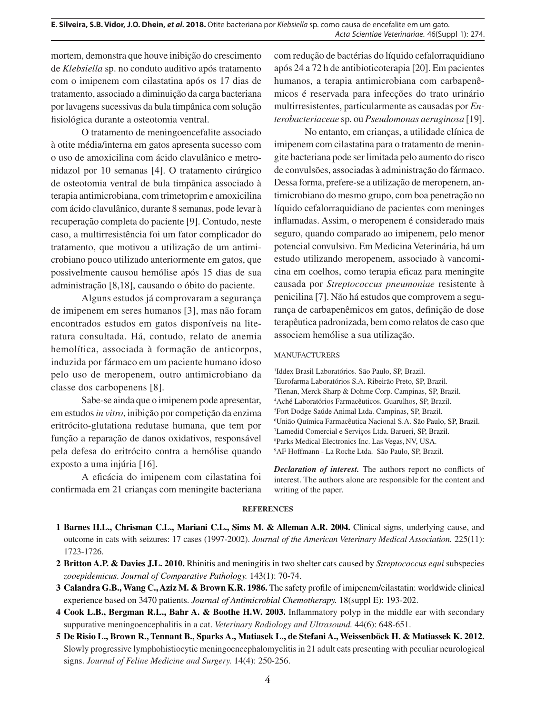mortem, demonstra que houve inibição do crescimento de *Klebsiella* sp. no conduto auditivo após tratamento com o imipenem com cilastatina após os 17 dias de tratamento, associado a diminuição da carga bacteriana por lavagens sucessivas da bula timpânica com solução fisiológica durante a osteotomia ventral.

O tratamento de meningoencefalite associado à otite média/interna em gatos apresenta sucesso com o uso de amoxicilina com ácido clavulânico e metronidazol por 10 semanas [4]. O tratamento cirúrgico de osteotomia ventral de bula timpânica associado à terapia antimicrobiana, com trimetoprim e amoxicilina com ácido clavulânico, durante 8 semanas, pode levar à recuperação completa do paciente [9]. Contudo, neste caso, a multirresistência foi um fator complicador do tratamento, que motivou a utilização de um antimicrobiano pouco utilizado anteriormente em gatos, que possivelmente causou hemólise após 15 dias de sua administração [8,18], causando o óbito do paciente.

Alguns estudos já comprovaram a segurança de imipenem em seres humanos [3], mas não foram encontrados estudos em gatos disponíveis na literatura consultada. Há, contudo, relato de anemia hemolítica, associada à formação de anticorpos, induzida por fármaco em um paciente humano idoso pelo uso de meropenem, outro antimicrobiano da classe dos carbopenens [8].

Sabe-se ainda que o imipenem pode apresentar, em estudos *in vitro*, inibição por competição da enzima eritrócito-glutationa redutase humana, que tem por função a reparação de danos oxidativos, responsável pela defesa do eritrócito contra a hemólise quando exposto a uma injúria [16].

A eficácia do imipenem com cilastatina foi confirmada em 21 crianças com meningite bacteriana com redução de bactérias do líquido cefalorraquidiano após 24 a 72 h de antibioticoterapia [20]. Em pacientes humanos, a terapia antimicrobiana com carbapenêmicos é reservada para infecções do trato urinário multirresistentes, particularmente as causadas por *Enterobacteriaceae* sp. ou *Pseudomonas aeruginosa* [19].

No entanto, em crianças, a utilidade clínica de imipenem com cilastatina para o tratamento de meningite bacteriana pode ser limitada pelo aumento do risco de convulsões, associadas à administração do fármaco. Dessa forma, prefere-se a utilização de meropenem, antimicrobiano do mesmo grupo, com boa penetração no líquido cefalorraquidiano de pacientes com meninges inflamadas. Assim, o meropenem é considerado mais seguro, quando comparado ao imipenem, pelo menor potencial convulsivo. Em Medicina Veterinária, há um estudo utilizando meropenem, associado à vancomicina em coelhos, como terapia eficaz para meningite causada por *Streptococcus pneumoniae* resistente à penicilina [7]. Não há estudos que comprovem a segurança de carbapenêmicos em gatos, definição de dose terapêutica padronizada, bem como relatos de caso que associem hemólise a sua utilização.

#### MANUFACTURERS

<sup>1</sup>Iddex Brasil Laboratórios. São Paulo, SP, Brazil. Eurofarma Laboratórios S.A. Ribeirão Preto, SP, Brazil. Tienan, Merck Sharp & Dohme Corp. Campinas, SP, Brazil. Aché Laboratórios Farmacêuticos. Guarulhos, SP, Brazil. Fort Dodge Saúde Animal Ltda. Campinas, SP, Brazil. União Química Farmacêutica Nacional S.A. São Paulo, SP, Brazil. Lamedid Comercial e Serviços Ltda. Barueri, SP, Brazil. 8 Parks Medical Electronics Inc. Las Vegas, NV, USA. AF Hoffmann - La Roche Ltda. São Paulo, SP, Brazil.

*Declaration of interest.* The authors report no conflicts of interest. The authors alone are responsible for the content and writing of the paper.

#### **REFERENCES**

**1 Barnes H.L., Chrisman C.L., Mariani C.L., Sims M. & Alleman A.R. 2004.** Clinical signs, underlying cause, and outcome in cats with seizures: 17 cases (1997-2002). *Journal of the American Veterinary Medical Association.* 225(11): 1723-1726.

- **2 Britton A.P. & Davies J.L. 2010.** Rhinitis and meningitis in two shelter cats caused by *Streptococcus equi* subspecies *zooepidemicus*. *Journal of Comparative Pathology.* 143(1): 70-74.
- **3 Calandra G.B., Wang C., Aziz M. & Brown K.R. 1986.** The safety profile of imipenem/cilastatin: worldwide clinical experience based on 3470 patients. *Journal of Antimicrobial Chemotherapy.* 18(suppl E): 193-202.
- **4 Cook L.B., Bergman R.L., Bahr A. & Boothe H.W. 2003.** Inflammatory polyp in the middle ear with secondary suppurative meningoencephalitis in a cat. *Veterinary Radiology and Ultrasound.* 44(6): 648-651.
- **5 De Risio L., Brown R., Tennant B., Sparks A., Matiasek L., de Stefani A., Weissenböck H. & Matiassek K. 2012.** Slowly progressive lymphohistiocytic meningoencephalomyelitis in 21 adult cats presenting with peculiar neurological signs. *Journal of Feline Medicine and Surgery.* 14(4): 250-256.